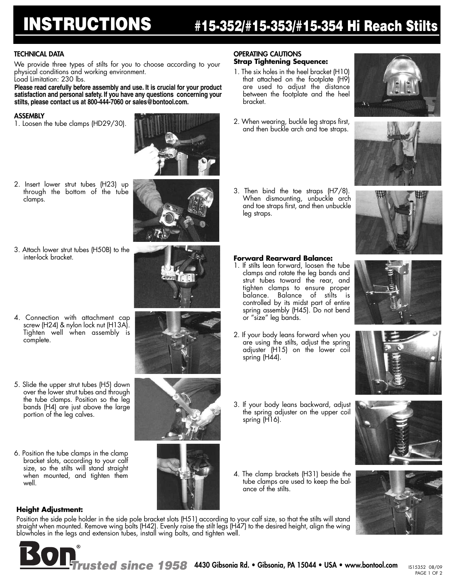# **INSTRUCTIONS #15-352/#15-353/#15-354 Hi Reach Stilts**

#### **TECHNICAL DATA**

We provide three types of stilts for you to choose according to your physical conditions and working environment.

Load Limitation: 230 lbs.

**Please read carefully before assembly and use. It is crucial for your product satisfaction and personal safety. If you have any questions concerning your stilts, please contact us at 800-444-7060 or sales@bontool.com.**

#### **ASSEMBLY**

1. Loosen the tube clamps (HD29/30).



2. Insert lower strut tubes (H23) up through the bottom of the tube clamps.





- 4. Connection with attachment cap screw (H24) & nylon lock nut (H13A). Tighten well when assembly is complete.
- 5. Slide the upper strut tubes (H5) down over the lower strut tubes and through the tube clamps. Position so the leg bands (H4) are just above the large portion of the leg calves.
- 6. Position the tube clamps in the clamp bracket slots, according to your calf size, so the stilts will stand straight when mounted, and tighten them well.

**Height Adjustment:**



## **OPERATING CAUTIONS Strap Tightening Sequence:**

- 1. The six holes in the heel bracket (H10) that attached on the footplate (H9) are used to adjust the distance between the footplate and the heel bracket.
- 2. When wearing, buckle leg straps first, and then buckle arch and toe straps.
- 3. Then bind the toe straps (H7/8). When dismounting, unbuckle arch and toe straps first, and then unbuckle leg straps.

#### **Forward Rearward Balance:**

- 1. If stilts lean forward, loosen the tube clamps and rotate the leg bands and strut tubes toward the rear, and tighten clamps to ensure proper balance. Balance of stilts is controlled by its midst part of entire spring assembly (H45). Do not bend or "size" leg bands.
- 2. If your body leans forward when you are using the stilts, adjust the spring adjuster (H15) on the lower coil spring (H44).
- 
- 3. If your body leans backward, adjust the spring adjuster on the upper coil spring (H16).
- 4. The clamp brackets (H31) beside the tube clamps are used to keep the balance of the stilts.



Position the side pole holder in the side pole bracket slots (H51) according to your calf size, so that the stilts will stand straight when mounted. Remove wing bolts (H42). Evenly raise the stilt legs (H47) to the desired height, align the wing blowholes in the legs and extension tubes, install wing bolts, and tighten well.